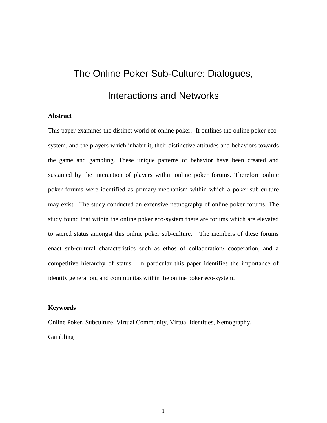# The Online Poker Sub-Culture: Dialogues, Interactions and Networks

#### **Abstract**

This paper examines the distinct world of online poker. It outlines the online poker ecosystem, and the players which inhabit it, their distinctive attitudes and behaviors towards the game and gambling. These unique patterns of behavior have been created and sustained by the interaction of players within online poker forums. Therefore online poker forums were identified as primary mechanism within which a poker sub-culture may exist. The study conducted an extensive netnography of online poker forums. The study found that within the online poker eco-system there are forums which are elevated to sacred status amongst this online poker sub-culture. The members of these forums enact sub-cultural characteristics such as ethos of collaboration/ cooperation, and a competitive hierarchy of status. In particular this paper identifies the importance of identity generation, and communitas within the online poker eco-system.

#### **Keywords**

Online Poker, Subculture, Virtual Community, Virtual Identities, Netnography, Gambling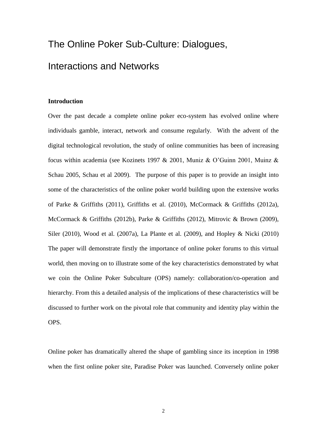# The Online Poker Sub-Culture: Dialogues,

# Interactions and Networks

#### **Introduction**

Over the past decade a complete online poker eco-system has evolved online where individuals gamble, interact, network and consume regularly. With the advent of the digital technological revolution, the study of online communities has been of increasing focus within academia (see Kozinets 1997 & 2001, Muniz & O'Guinn 2001, Muinz & Schau 2005, Schau et al 2009). The purpose of this paper is to provide an insight into some of the characteristics of the online poker world building upon the extensive works of Parke & Griffiths (2011), Griffiths et al. (2010), McCormack & Griffiths (2012a), McCormack & Griffiths (2012b), Parke & Griffiths (2012), Mitrovic & Brown (2009), Siler (2010), Wood et al. (2007a), La Plante et al. (2009), and Hopley & Nicki (2010) The paper will demonstrate firstly the importance of online poker forums to this virtual world, then moving on to illustrate some of the key characteristics demonstrated by what we coin the Online Poker Subculture (OPS) namely: collaboration/co-operation and hierarchy. From this a detailed analysis of the implications of these characteristics will be discussed to further work on the pivotal role that community and identity play within the OPS.

Online poker has dramatically altered the shape of gambling since its inception in 1998 when the first online poker site, Paradise Poker was launched. Conversely online poker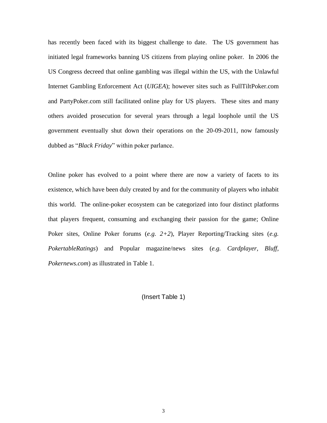has recently been faced with its biggest challenge to date. The US government has initiated legal frameworks banning US citizens from playing online poker. In 2006 the US Congress decreed that online gambling was illegal within the US, with the Unlawful Internet Gambling Enforcement Act (*UIGEA*); however sites such as FullTiltPoker.com and PartyPoker.com still facilitated online play for US players. These sites and many others avoided prosecution for several years through a legal loophole until the US government eventually shut down their operations on the 20-09-2011, now famously dubbed as "*Black Friday*" within poker parlance.

Online poker has evolved to a point where there are now a variety of facets to its existence, which have been duly created by and for the community of players who inhabit this world. The online-poker ecosystem can be categorized into four distinct platforms that players frequent, consuming and exchanging their passion for the game; Online Poker sites, Online Poker forums (*e.g. 2+2*), Player Reporting/Tracking sites (*e.g. PokertableRatings*) and Popular magazine/news sites (*e.g. Cardplayer, Bluff, Pokernews.com*) as illustrated in Table 1.

(Insert Table 1)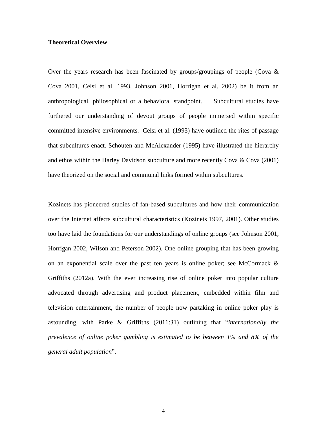#### **Theoretical Overview**

Over the years research has been fascinated by groups/groupings of people (Cova  $\&$ Cova 2001, Celsi et al. 1993, Johnson 2001, Horrigan et al. 2002) be it from an anthropological, philosophical or a behavioral standpoint. Subcultural studies have furthered our understanding of devout groups of people immersed within specific committed intensive environments. Celsi et al. (1993) have outlined the rites of passage that subcultures enact. Schouten and McAlexander (1995) have illustrated the hierarchy and ethos within the Harley Davidson subculture and more recently Cova & Cova (2001) have theorized on the social and communal links formed within subcultures.

Kozinets has pioneered studies of fan-based subcultures and how their communication over the Internet affects subcultural characteristics (Kozinets 1997, 2001). Other studies too have laid the foundations for our understandings of online groups (see Johnson 2001, Horrigan 2002, Wilson and Peterson 2002). One online grouping that has been growing on an exponential scale over the past ten years is online poker; see McCormack  $\&$ Griffiths (2012a). With the ever increasing rise of online poker into popular culture advocated through advertising and product placement, embedded within film and television entertainment, the number of people now partaking in online poker play is astounding, with Parke & Griffiths (2011:31) outlining that "*internationally the prevalence of online poker gambling is estimated to be between 1% and 8% of the general adult population*".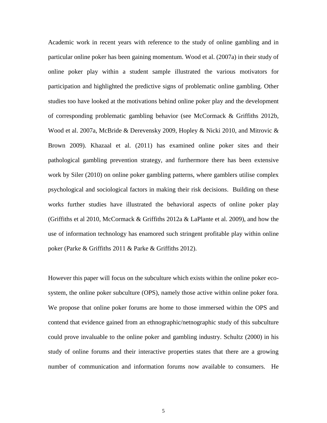Academic work in recent years with reference to the study of online gambling and in particular online poker has been gaining momentum. Wood et al. (2007a) in their study of online poker play within a student sample illustrated the various motivators for participation and highlighted the predictive signs of problematic online gambling. Other studies too have looked at the motivations behind online poker play and the development of corresponding problematic gambling behavior (see McCormack & Griffiths 2012b, Wood et al. 2007a, McBride & Derevensky 2009, Hopley & Nicki 2010, and Mitrovic & Brown 2009). Khazaal et al. (2011) has examined online poker sites and their pathological gambling prevention strategy, and furthermore there has been extensive work by Siler (2010) on online poker gambling patterns, where gamblers utilise complex psychological and sociological factors in making their risk decisions. Building on these works further studies have illustrated the behavioral aspects of online poker play (Griffiths et al 2010, McCormack & Griffiths 2012a & LaPlante et al. 2009), and how the use of information technology has enamored such stringent profitable play within online poker (Parke & Griffiths 2011 & Parke & Griffiths 2012).

However this paper will focus on the subculture which exists within the online poker ecosystem, the online poker subculture (OPS), namely those active within online poker fora. We propose that online poker forums are home to those immersed within the OPS and contend that evidence gained from an ethnographic/netnographic study of this subculture could prove invaluable to the online poker and gambling industry. Schultz (2000) in his study of online forums and their interactive properties states that there are a growing number of communication and information forums now available to consumers. He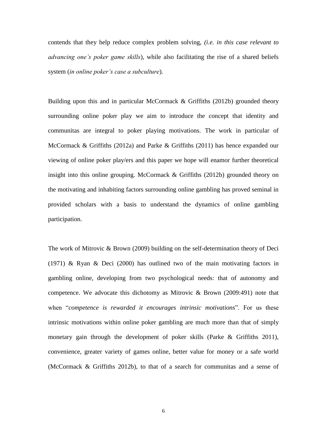contends that they help reduce complex problem solving, *(i.e. in this case relevant to advancing one's poker game skills*), while also facilitating the rise of a shared beliefs system (*in online poker's case a subculture*).

Building upon this and in particular McCormack & Griffiths (2012b) grounded theory surrounding online poker play we aim to introduce the concept that identity and communitas are integral to poker playing motivations. The work in particular of McCormack & Griffiths (2012a) and Parke & Griffiths (2011) has hence expanded our viewing of online poker play/ers and this paper we hope will enamor further theoretical insight into this online grouping. McCormack  $\&$  Griffiths (2012b) grounded theory on the motivating and inhabiting factors surrounding online gambling has proved seminal in provided scholars with a basis to understand the dynamics of online gambling participation.

The work of Mitrovic & Brown (2009) building on the self-determination theory of Deci (1971) & Ryan & Deci (2000) has outlined two of the main motivating factors in gambling online, developing from two psychological needs: that of autonomy and competence. We advocate this dichotomy as Mitrovic & Brown (2009:491) note that when "*competence is rewarded it encourages intrinsic motivations*". For us these intrinsic motivations within online poker gambling are much more than that of simply monetary gain through the development of poker skills (Parke & Griffiths 2011), convenience, greater variety of games online, better value for money or a safe world (McCormack & Griffiths 2012b), to that of a search for communitas and a sense of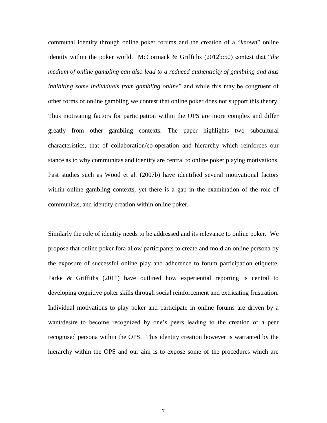communal identity through online poker forums and the creation of a "*known*" online identity within the poker world. McCormack & Griffiths (2012b:50) contest that "*the medium of online gambling can also lead to a reduced authenticity of gambling and thus inhibiting some individuals from gambling online*" and while this may be congruent of other forms of online gambling we contest that online poker does not support this theory. Thus motivating factors for participation within the OPS are more complex and differ greatly from other gambling contexts. The paper highlights two subcultural characteristics, that of collaboration/co-operation and hierarchy which reinforces our stance as to why communitas and identity are central to online poker playing motivations. Past studies such as Wood et al. (2007b) have identified several motivational factors within online gambling contexts, yet there is a gap in the examination of the role of communitas, and identity creation within online poker.

Similarly the role of identity needs to be addressed and its relevance to online poker. We propose that online poker fora allow participants to create and mold an online persona by the exposure of successful online play and adherence to forum participation etiquette. Parke & Griffiths (2011) have outlined how experiential reporting is central to developing cognitive poker skills through social reinforcement and extricating frustration. Individual motivations to play poker and participate in online forums are driven by a want/desire to become recognized by one's peers leading to the creation of a peer recognised persona within the OPS. This identity creation however is warranted by the hierarchy within the OPS and our aim is to expose some of the procedures which are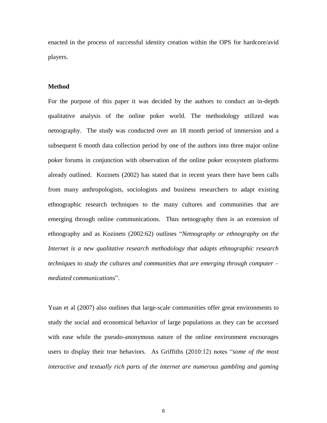enacted in the process of successful identity creation within the OPS for hardcore/avid players.

#### **Method**

For the purpose of this paper it was decided by the authors to conduct an in-depth qualitative analysis of the online poker world. The methodology utilized was netnography. The study was conducted over an 18 month period of immersion and a subsequent 6 month data collection period by one of the authors into three major online poker forums in conjunction with observation of the online poker ecosystem platforms already outlined. Kozinets (2002) has stated that in recent years there have been calls from many anthropologists, sociologists and business researchers to adapt existing ethnographic research techniques to the many cultures and communities that are emerging through online communications. Thus netnography then is an extension of ethnography and as Kozinets (2002:62) outlines "*Netnography or ethnography on the Internet is a new qualitative research methodology that adapts ethnographic research techniques to study the cultures and communities that are emerging through computer – mediated communications*".

Yuan et al (2007) also outlines that large-scale communities offer great environments to study the social and economical behavior of large populations as they can be accessed with ease while the pseudo-anonymous nature of the online environment encourages users to display their true behaviors. As Griffiths (2010:12) notes "*some of the most interactive and textually rich parts of the internet are numerous gambling and gaming*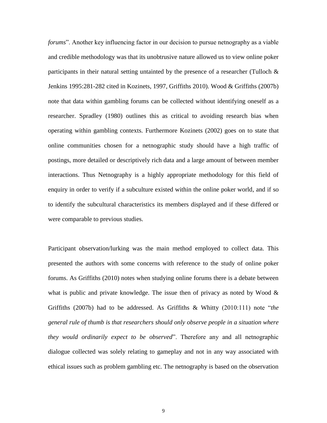*forums*". Another key influencing factor in our decision to pursue netnography as a viable and credible methodology was that its unobtrusive nature allowed us to view online poker participants in their natural setting untainted by the presence of a researcher (Tulloch & Jenkins 1995:281-282 cited in Kozinets, 1997, Griffiths 2010). Wood & Griffiths (2007b) note that data within gambling forums can be collected without identifying oneself as a researcher. Spradley (1980) outlines this as critical to avoiding research bias when operating within gambling contexts. Furthermore Kozinets (2002) goes on to state that online communities chosen for a netnographic study should have a high traffic of postings, more detailed or descriptively rich data and a large amount of between member interactions. Thus Netnography is a highly appropriate methodology for this field of enquiry in order to verify if a subculture existed within the online poker world, and if so to identify the subcultural characteristics its members displayed and if these differed or were comparable to previous studies.

Participant observation/lurking was the main method employed to collect data. This presented the authors with some concerns with reference to the study of online poker forums. As Griffiths (2010) notes when studying online forums there is a debate between what is public and private knowledge. The issue then of privacy as noted by Wood  $\&$ Griffiths (2007b) had to be addressed. As Griffiths & Whitty (2010:111) note "*the general rule of thumb is that researchers should only observe people in a situation where they would ordinarily expect to be observed*". Therefore any and all netnographic dialogue collected was solely relating to gameplay and not in any way associated with ethical issues such as problem gambling etc. The netnography is based on the observation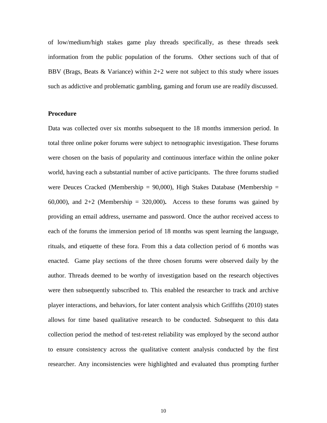of low/medium/high stakes game play threads specifically, as these threads seek information from the public population of the forums. Other sections such of that of BBV (Brags, Beats  $\&$  Variance) within 2+2 were not subject to this study where issues such as addictive and problematic gambling, gaming and forum use are readily discussed.

#### **Procedure**

Data was collected over six months subsequent to the 18 months immersion period. In total three online poker forums were subject to netnographic investigation. These forums were chosen on the basis of popularity and continuous interface within the online poker world, having each a substantial number of active participants. The three forums studied were Deuces Cracked (Membership =  $90,000$ ), High Stakes Database (Membership = 60,000), and 2+2 (Membership = 320,000)**.** Access to these forums was gained by providing an email address, username and password. Once the author received access to each of the forums the immersion period of 18 months was spent learning the language, rituals, and etiquette of these fora. From this a data collection period of 6 months was enacted. Game play sections of the three chosen forums were observed daily by the author. Threads deemed to be worthy of investigation based on the research objectives were then subsequently subscribed to. This enabled the researcher to track and archive player interactions, and behaviors, for later content analysis which Griffiths (2010) states allows for time based qualitative research to be conducted. Subsequent to this data collection period the method of test-retest reliability was employed by the second author to ensure consistency across the qualitative content analysis conducted by the first researcher. Any inconsistencies were highlighted and evaluated thus prompting further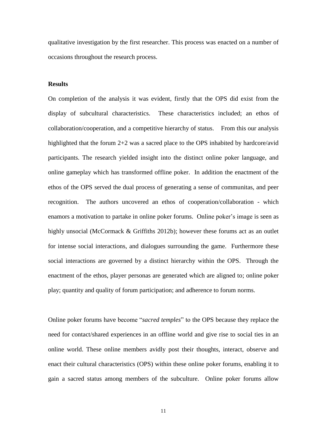qualitative investigation by the first researcher. This process was enacted on a number of occasions throughout the research process.

#### **Results**

On completion of the analysis it was evident, firstly that the OPS did exist from the display of subcultural characteristics. These characteristics included; an ethos of collaboration/cooperation, and a competitive hierarchy of status. From this our analysis highlighted that the forum 2+2 was a sacred place to the OPS inhabited by hardcore/avid participants. The research yielded insight into the distinct online poker language, and online gameplay which has transformed offline poker. In addition the enactment of the ethos of the OPS served the dual process of generating a sense of communitas, and peer recognition. The authors uncovered an ethos of cooperation/collaboration - which enamors a motivation to partake in online poker forums. Online poker's image is seen as highly unsocial (McCormack & Griffiths 2012b); however these forums act as an outlet for intense social interactions, and dialogues surrounding the game. Furthermore these social interactions are governed by a distinct hierarchy within the OPS. Through the enactment of the ethos, player personas are generated which are aligned to; online poker play; quantity and quality of forum participation; and adherence to forum norms.

Online poker forums have become "*sacred temples*" to the OPS because they replace the need for contact/shared experiences in an offline world and give rise to social ties in an online world. These online members avidly post their thoughts, interact, observe and enact their cultural characteristics (OPS) within these online poker forums, enabling it to gain a sacred status among members of the subculture. Online poker forums allow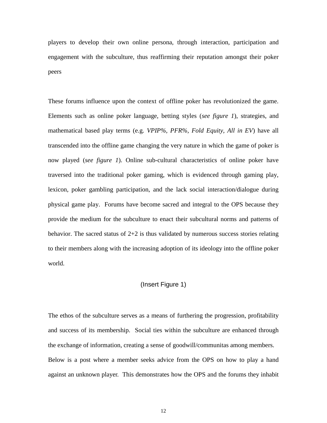players to develop their own online persona, through interaction, participation and engagement with the subculture, thus reaffirming their reputation amongst their poker peers

These forums influence upon the context of offline poker has revolutionized the game. Elements such as online poker language, betting styles (*see figure 1*), strategies, and mathematical based play terms (e.g. *VPIP%, PFR%, Fold Equity, All in EV*) have all transcended into the offline game changing the very nature in which the game of poker is now played (*see figure 1*). Online sub-cultural characteristics of online poker have traversed into the traditional poker gaming, which is evidenced through gaming play, lexicon, poker gambling participation, and the lack social interaction/dialogue during physical game play. Forums have become sacred and integral to the OPS because they provide the medium for the subculture to enact their subcultural norms and patterns of behavior. The sacred status of  $2+2$  is thus validated by numerous success stories relating to their members along with the increasing adoption of its ideology into the offline poker world.

#### (Insert Figure 1)

The ethos of the subculture serves as a means of furthering the progression, profitability and success of its membership. Social ties within the subculture are enhanced through the exchange of information, creating a sense of goodwill/communitas among members. Below is a post where a member seeks advice from the OPS on how to play a hand against an unknown player. This demonstrates how the OPS and the forums they inhabit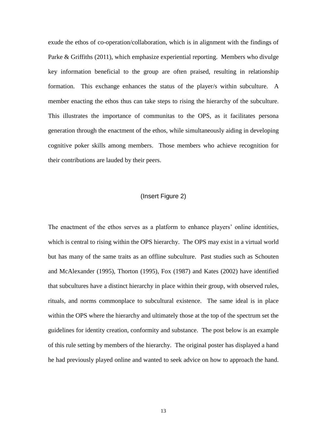exude the ethos of co-operation/collaboration, which is in alignment with the findings of Parke & Griffiths (2011), which emphasize experiential reporting. Members who divulge key information beneficial to the group are often praised, resulting in relationship formation. This exchange enhances the status of the player/s within subculture. A member enacting the ethos thus can take steps to rising the hierarchy of the subculture. This illustrates the importance of communitas to the OPS, as it facilitates persona generation through the enactment of the ethos, while simultaneously aiding in developing cognitive poker skills among members. Those members who achieve recognition for their contributions are lauded by their peers.

#### (Insert Figure 2)

The enactment of the ethos serves as a platform to enhance players' online identities, which is central to rising within the OPS hierarchy. The OPS may exist in a virtual world but has many of the same traits as an offline subculture. Past studies such as Schouten and McAlexander (1995), Thorton (1995), Fox (1987) and Kates (2002) have identified that subcultures have a distinct hierarchy in place within their group, with observed rules, rituals, and norms commonplace to subcultural existence. The same ideal is in place within the OPS where the hierarchy and ultimately those at the top of the spectrum set the guidelines for identity creation, conformity and substance. The post below is an example of this rule setting by members of the hierarchy. The original poster has displayed a hand he had previously played online and wanted to seek advice on how to approach the hand.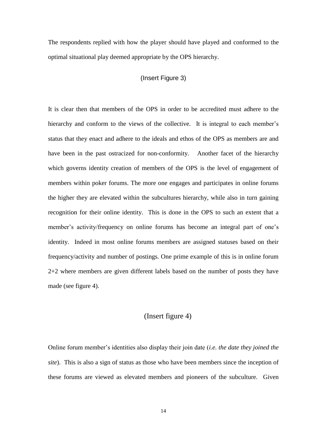The respondents replied with how the player should have played and conformed to the optimal situational play deemed appropriate by the OPS hierarchy.

#### (Insert Figure 3)

It is clear then that members of the OPS in order to be accredited must adhere to the hierarchy and conform to the views of the collective. It is integral to each member's status that they enact and adhere to the ideals and ethos of the OPS as members are and have been in the past ostracized for non-conformity. Another facet of the hierarchy which governs identity creation of members of the OPS is the level of engagement of members within poker forums. The more one engages and participates in online forums the higher they are elevated within the subcultures hierarchy, while also in turn gaining recognition for their online identity. This is done in the OPS to such an extent that a member's activity/frequency on online forums has become an integral part of one's identity. Indeed in most online forums members are assigned statuses based on their frequency/activity and number of postings. One prime example of this is in online forum 2+2 where members are given different labels based on the number of posts they have made (see figure 4).

# (Insert figure 4)

Online forum member's identities also display their join date (*i.e. the date they joined the site*). This is also a sign of status as those who have been members since the inception of these forums are viewed as elevated members and pioneers of the subculture. Given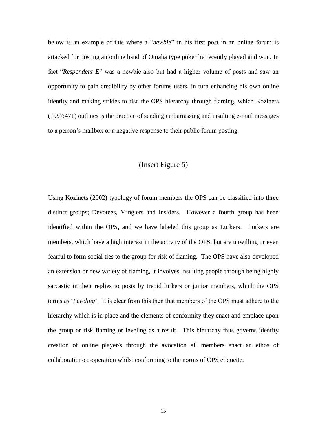below is an example of this where a "*newbie*" in his first post in an online forum is attacked for posting an online hand of Omaha type poker he recently played and won. In fact "*Respondent E*" was a newbie also but had a higher volume of posts and saw an opportunity to gain credibility by other forums users, in turn enhancing his own online identity and making strides to rise the OPS hierarchy through flaming, which Kozinets (1997:471) outlines is the practice of sending embarrassing and insulting e-mail messages to a person's mailbox or a negative response to their public forum posting.

### (Insert Figure 5)

Using Kozinets (2002) typology of forum members the OPS can be classified into three distinct groups; Devotees, Minglers and Insiders. However a fourth group has been identified within the OPS, and we have labeled this group as Lurkers. Lurkers are members, which have a high interest in the activity of the OPS, but are unwilling or even fearful to form social ties to the group for risk of flaming. The OPS have also developed an extension or new variety of flaming, it involves insulting people through being highly sarcastic in their replies to posts by trepid lurkers or junior members, which the OPS terms as '*Leveling*'. It is clear from this then that members of the OPS must adhere to the hierarchy which is in place and the elements of conformity they enact and emplace upon the group or risk flaming or leveling as a result. This hierarchy thus governs identity creation of online player/s through the avocation all members enact an ethos of collaboration/co-operation whilst conforming to the norms of OPS etiquette.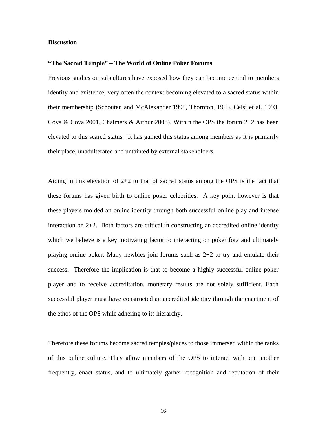#### **Discussion**

#### **"The Sacred Temple" – The World of Online Poker Forums**

Previous studies on subcultures have exposed how they can become central to members identity and existence, very often the context becoming elevated to a sacred status within their membership (Schouten and McAlexander 1995, Thornton, 1995, Celsi et al. 1993, Cova & Cova 2001, Chalmers & Arthur 2008). Within the OPS the forum 2+2 has been elevated to this scared status. It has gained this status among members as it is primarily their place, unadulterated and untainted by external stakeholders.

Aiding in this elevation of  $2+2$  to that of sacred status among the OPS is the fact that these forums has given birth to online poker celebrities. A key point however is that these players molded an online identity through both successful online play and intense interaction on  $2+2$ . Both factors are critical in constructing an accredited online identity which we believe is a key motivating factor to interacting on poker fora and ultimately playing online poker. Many newbies join forums such as 2+2 to try and emulate their success. Therefore the implication is that to become a highly successful online poker player and to receive accreditation, monetary results are not solely sufficient. Each successful player must have constructed an accredited identity through the enactment of the ethos of the OPS while adhering to its hierarchy.

Therefore these forums become sacred temples/places to those immersed within the ranks of this online culture. They allow members of the OPS to interact with one another frequently, enact status, and to ultimately garner recognition and reputation of their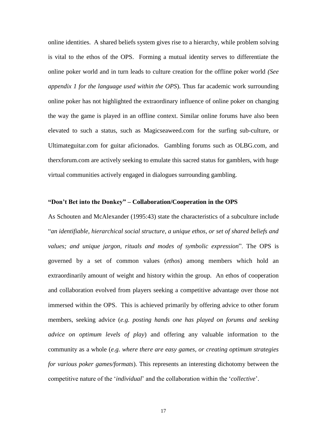online identities. A shared beliefs system gives rise to a hierarchy, while problem solving is vital to the ethos of the OPS. Forming a mutual identity serves to differentiate the online poker world and in turn leads to culture creation for the offline poker world *(See appendix 1 for the language used within the OPS*). Thus far academic work surrounding online poker has not highlighted the extraordinary influence of online poker on changing the way the game is played in an offline context. Similar online forums have also been elevated to such a status, such as Magicseaweed.com for the surfing sub-culture, or Ultimateguitar.com for guitar aficionados. Gambling forums such as OLBG.com, and therxforum.com are actively seeking to emulate this sacred status for gamblers, with huge virtual communities actively engaged in dialogues surrounding gambling.

#### **"Don't Bet into the Donkey" – Collaboration/Cooperation in the OPS**

As Schouten and McAlexander (1995:43) state the characteristics of a subculture include "*an identifiable, hierarchical social structure, a unique ethos, or set of shared beliefs and values; and unique jargon, rituals and modes of symbolic expression*". The OPS is governed by a set of common values (*ethos*) among members which hold an extraordinarily amount of weight and history within the group. An ethos of cooperation and collaboration evolved from players seeking a competitive advantage over those not immersed within the OPS. This is achieved primarily by offering advice to other forum members, seeking advice (*e.g. posting hands one has played on forums and seeking advice on optimum levels of play*) and offering any valuable information to the community as a whole (*e.g. where there are easy games, or creating optimum strategies for various poker games/formats*). This represents an interesting dichotomy between the competitive nature of the '*individual*' and the collaboration within the '*collective*'.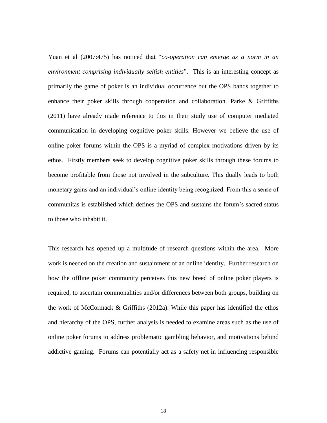Yuan et al (2007:475) has noticed that "*co-operation can emerge as a norm in an environment comprising individually selfish entities*". This is an interesting concept as primarily the game of poker is an individual occurrence but the OPS bands together to enhance their poker skills through cooperation and collaboration. Parke & Griffiths (2011) have already made reference to this in their study use of computer mediated communication in developing cognitive poker skills. However we believe the use of online poker forums within the OPS is a myriad of complex motivations driven by its ethos. Firstly members seek to develop cognitive poker skills through these forums to become profitable from those not involved in the subculture. This dually leads to both monetary gains and an individual's online identity being recognized. From this a sense of communitas is established which defines the OPS and sustains the forum's sacred status to those who inhabit it.

This research has opened up a multitude of research questions within the area. More work is needed on the creation and sustainment of an online identity. Further research on how the offline poker community perceives this new breed of online poker players is required, to ascertain commonalities and/or differences between both groups, building on the work of McCormack & Griffiths (2012a). While this paper has identified the ethos and hierarchy of the OPS, further analysis is needed to examine areas such as the use of online poker forums to address problematic gambling behavior, and motivations behind addictive gaming. Forums can potentially act as a safety net in influencing responsible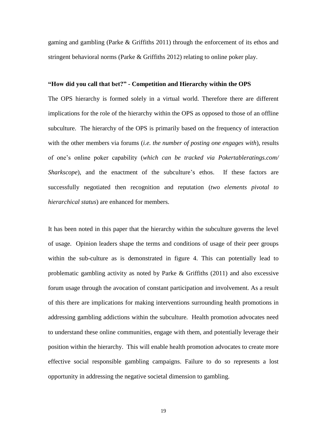gaming and gambling (Parke & Griffiths 2011) through the enforcement of its ethos and stringent behavioral norms (Parke & Griffiths 2012) relating to online poker play.

#### **"How did you call that bet?" - Competition and Hierarchy within the OPS**

The OPS hierarchy is formed solely in a virtual world. Therefore there are different implications for the role of the hierarchy within the OPS as opposed to those of an offline subculture. The hierarchy of the OPS is primarily based on the frequency of interaction with the other members via forums (*i.e. the number of posting one engages with*), results of one's online poker capability (*which can be tracked via Pokertableratings.com/ Sharkscope*), and the enactment of the subculture's ethos. If these factors are successfully negotiated then recognition and reputation (*two elements pivotal to hierarchical status*) are enhanced for members.

It has been noted in this paper that the hierarchy within the subculture governs the level of usage. Opinion leaders shape the terms and conditions of usage of their peer groups within the sub-culture as is demonstrated in figure 4. This can potentially lead to problematic gambling activity as noted by Parke & Griffiths (2011) and also excessive forum usage through the avocation of constant participation and involvement. As a result of this there are implications for making interventions surrounding health promotions in addressing gambling addictions within the subculture. Health promotion advocates need to understand these online communities, engage with them, and potentially leverage their position within the hierarchy. This will enable health promotion advocates to create more effective social responsible gambling campaigns. Failure to do so represents a lost opportunity in addressing the negative societal dimension to gambling.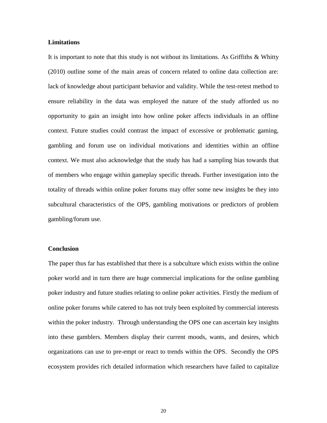#### **Limitations**

It is important to note that this study is not without its limitations. As Griffiths & Whitty (2010) outline some of the main areas of concern related to online data collection are: lack of knowledge about participant behavior and validity. While the test-retest method to ensure reliability in the data was employed the nature of the study afforded us no opportunity to gain an insight into how online poker affects individuals in an offline context. Future studies could contrast the impact of excessive or problematic gaming, gambling and forum use on individual motivations and identities within an offline context. We must also acknowledge that the study has had a sampling bias towards that of members who engage within gameplay specific threads. Further investigation into the totality of threads within online poker forums may offer some new insights be they into subcultural characteristics of the OPS, gambling motivations or predictors of problem gambling/forum use.

#### **Conclusion**

The paper thus far has established that there is a subculture which exists within the online poker world and in turn there are huge commercial implications for the online gambling poker industry and future studies relating to online poker activities. Firstly the medium of online poker forums while catered to has not truly been exploited by commercial interests within the poker industry. Through understanding the OPS one can ascertain key insights into these gamblers. Members display their current moods, wants, and desires, which organizations can use to pre-empt or react to trends within the OPS. Secondly the OPS ecosystem provides rich detailed information which researchers have failed to capitalize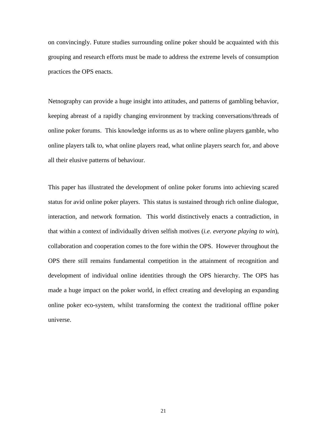on convincingly. Future studies surrounding online poker should be acquainted with this grouping and research efforts must be made to address the extreme levels of consumption practices the OPS enacts.

Netnography can provide a huge insight into attitudes, and patterns of gambling behavior, keeping abreast of a rapidly changing environment by tracking conversations/threads of online poker forums. This knowledge informs us as to where online players gamble, who online players talk to, what online players read, what online players search for, and above all their elusive patterns of behaviour.

This paper has illustrated the development of online poker forums into achieving scared status for avid online poker players. This status is sustained through rich online dialogue, interaction, and network formation. This world distinctively enacts a contradiction, in that within a context of individually driven selfish motives (*i.e. everyone playing to win*), collaboration and cooperation comes to the fore within the OPS. However throughout the OPS there still remains fundamental competition in the attainment of recognition and development of individual online identities through the OPS hierarchy. The OPS has made a huge impact on the poker world, in effect creating and developing an expanding online poker eco-system, whilst transforming the context the traditional offline poker universe.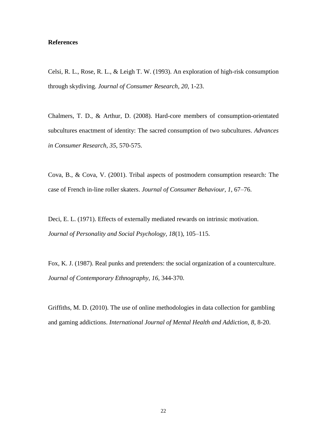#### **References**

Celsi, R. L., Rose, R. L., & Leigh T. W. (1993). An exploration of high-risk consumption through skydiving. *Journal of Consumer Research*, *20*, 1-23.

Chalmers, T. D., & Arthur, D. (2008). Hard-core members of consumption-orientated subcultures enactment of identity: The sacred consumption of two subcultures. *Advances in Consumer Research*, *35*, 570-575.

Cova, B., & Cova, V. (2001). Tribal aspects of postmodern consumption research: The case of French in-line roller skaters. *Journal of Consumer Behaviour, 1*, 67–76.

Deci, E. L. (1971). Effects of externally mediated rewards on intrinsic motivation. *Journal of Personality and Social Psychology, 18*(1), 105–115.

Fox, K. J. (1987). Real punks and pretenders: the social organization of a counterculture. *Journal of Contemporary Ethnography*, *16*, 344-370.

Griffiths, M. D. (2010). The use of online methodologies in data collection for gambling and gaming addictions. *International Journal of Mental Health and Addiction*, *8*, 8-20.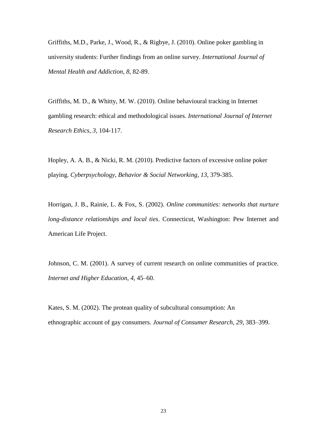Griffiths, M.D., Parke, J., Wood, R., & Rigbye, J. (2010). Online poker gambling in university students: Further findings from an online survey. *International Journal of Mental Health and Addiction*, *8*, 82-89.

Griffiths, M. D., & Whitty, M. W. (2010). Online behavioural tracking in Internet gambling research: ethical and methodological issues. *International Journal of Internet Research Ethics*, *3*, 104-117.

Hopley, A. A. B., & Nicki, R. M. (2010). Predictive factors of excessive online poker playing. *Cyberpsychology, Behavior & Social Networking*, *13*, 379-385.

Horrigan, J. B., Rainie, L. & Fox, S. (2002). *Online communities: networks that nurture long-distance relationships and local ties*. Connecticut, Washington: Pew Internet and American Life Project.

Johnson, C. M. (2001). A survey of current research on online communities of practice. *Internet and Higher Education*, *4*, 45–60.

Kates, S. M. (2002). The protean quality of subcultural consumption: An ethnographic account of gay consumers. *Journal of Consumer Research*, *29*, 383–399.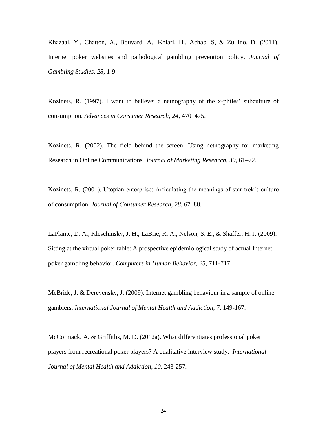Khazaal, Y., Chatton, A., Bouvard, A., Khiari, H., Achab, S, & Zullino, D. (2011). Internet poker websites and pathological gambling prevention policy. *Journal of Gambling Studies, 28*, 1-9.

Kozinets, R. (1997). I want to believe: a netnography of the x-philes' subculture of consumption. *Advances in Consumer Research, 24*, 470–475.

Kozinets, R. (2002). The field behind the screen: Using netnography for marketing Research in Online Communications. *Journal of Marketing Research*, *39*, 61–72.

Kozinets, R. (2001). Utopian enterprise: Articulating the meanings of star trek's culture of consumption. *Journal of Consumer Research*, *28*, 67–88.

LaPlante, D. A., Kleschinsky, J. H., LaBrie, R. A., Nelson, S. E., & Shaffer, H. J. (2009). Sitting at the virtual poker table: A prospective epidemiological study of actual Internet poker gambling behavior. *Computers in Human Behavior*, *25*, 711-717.

McBride, J. & Derevensky, J. (2009). Internet gambling behaviour in a sample of online gamblers. *International Journal of Mental Health and Addiction*, *7*, 149-167.

McCormack. A. & Griffiths, M. D. (2012a). What differentiates professional poker players from recreational poker players? A qualitative interview study. *International Journal of Mental Health and Addiction*, *10*, 243-257.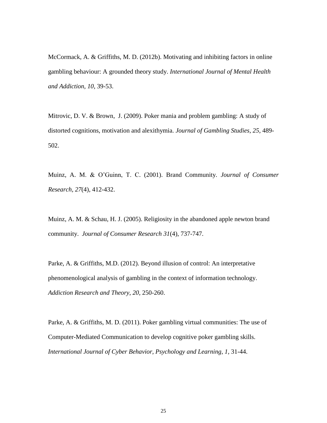McCormack, A. & Griffiths, M. D. (2012b). Motivating and inhibiting factors in online gambling behaviour: A grounded theory study. *International Journal of Mental Health and Addiction*, *10*, 39-53.

Mitrovic, D. V. & Brown, J. (2009). Poker mania and problem gambling: A study of distorted cognitions, motivation and alexithymia. *Journal of Gambling Studies, 25*, 489- 502.

Muinz, A. M. & O'Guinn, T. C. (2001). Brand Community. *Journal of Consumer Research, 27*(4), 412-432.

Muinz, A. M. & Schau, H. J. (2005). Religiosity in the abandoned apple newton brand community. *Journal of Consumer Research 31*(4), 737-747.

Parke, A. & Griffiths, M.D. (2012). Beyond illusion of control: An interpretative phenomenological analysis of gambling in the context of information technology. *Addiction Research and Theory*, *20*, 250-260.

Parke, A. & Griffiths, M. D. (2011). Poker gambling virtual communities: The use of Computer-Mediated Communication to develop cognitive poker gambling skills. *International Journal of Cyber Behavior, Psychology and Learning*, *1,* 31-44.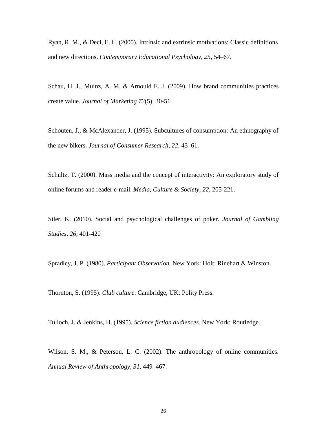Ryan, R. M., & Deci, E. L. (2000). Intrinsic and extrinsic motivations: Classic definitions and new directions. *Contemporary Educational Psychology, 25*, 54–67.

Schau, H. J., Muinz, A. M. & Arnould E. J. (2009). How brand communities practices create value. *Journal of Marketing 73*(5), 30-51.

Schouten, J., & McAlexander, J. (1995). Subcultures of consumption: An ethnography of the new bikers. *Journal of Consumer Research*, *22*, 43–61.

Schultz, T. (2000). Mass media and the concept of interactivity: An exploratory study of online forums and reader e-mail. *Media, Culture & Society*, *22*, 205-221.

Siler, K. (2010). Social and psychological challenges of poker. *Journal of Gambling Studies*, *26*, 401-420

Spradley, J. P. (1980). *Participant Observation.* New York: Holt: Rinehart & Winston.

Thornton, S. (1995). *Club culture*. Cambridge, UK: Polity Press.

Tulloch, J. & Jenkins, H. (1995). *Science fiction audiences*. New York: Routledge.

Wilson, S. M., & Peterson, L. C. (2002). The anthropology of online communities. *Annual Review of Anthropology, 31*, 449–467.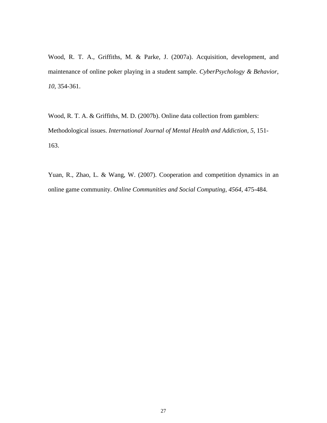Wood, R. T. A., Griffiths, M. & Parke, J. (2007a). Acquisition, development, and maintenance of online poker playing in a student sample. *CyberPsychology & Behavior*, *10*, 354-361.

Wood, R. T. A. & Griffiths, M. D. (2007b). Online data collection from gamblers: Methodological issues. *International Journal of Mental Health and Addiction*, *5*, 151- 163.

Yuan, R., Zhao, L. & Wang, W. (2007). Cooperation and competition dynamics in an online game community. *Online Communities and Social Computing*, *4564*, 475-484.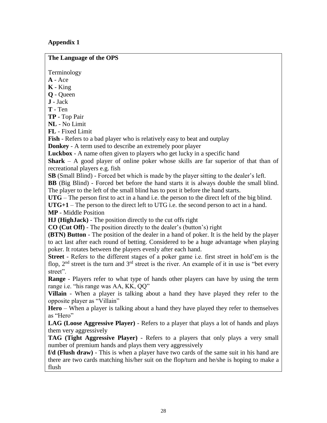# **Appendix 1**

**The Language of the OPS**

Terminology

**A** - Ace

- **K** King
- **Q** Queen
- **J** Jack
- **T** Ten

**TP** - Top Pair

**NL** - No Limit

**FL** - Fixed Limit

**Fish** - Refers to a bad player who is relatively easy to beat and outplay

**Donkey** - A term used to describe an extremely poor player

**Luckbox** - A name often given to players who get lucky in a specific hand

**Shark** – A good player of online poker whose skills are far superior of that than of recreational players e.g. fish

**SB** (Small Blind) - Forced bet which is made by the player sitting to the dealer's left.

**BB** (Big Blind) - Forced bet before the hand starts it is always double the small blind. The player to the left of the small blind has to post it before the hand starts.

**UTG** – The person first to act in a hand i.e. the person to the direct left of the big blind.

**UTG+1** – The person to the direct left to UTG i.e. the second person to act in a hand.

**MP** - Middle Position

**HJ (HighJack)** - The position directly to the cut offs right

**CO (Cut Off)** - The position directly to the dealer's (button's) right

**(BTN) Button** - The position of the dealer in a hand of poker. It is the held by the player to act last after each round of betting. Considered to be a huge advantage when playing poker. It rotates between the players evenly after each hand.

**Street** - Refers to the different stages of a poker game i.e. first street in hold'em is the flop,  $2<sup>nd</sup>$  street is the turn and  $3<sup>rd</sup>$  street is the river. An example of it in use is "bet every street".

**Range** - Players refer to what type of hands other players can have by using the term range i.e. "his range was AA, KK, QQ"

**Villain** - When a player is talking about a hand they have played they refer to the opposite player as "Villain"

**Hero** – When a player is talking about a hand they have played they refer to themselves as "Hero"

**LAG (Loose Aggressive Player)** - Refers to a player that plays a lot of hands and plays them very aggressively

**TAG (Tight Aggressive Player)** - Refers to a players that only plays a very small number of premium hands and plays them very aggressively

**f/d (Flush draw)** - This is when a player have two cards of the same suit in his hand are there are two cards matching his/her suit on the flop/turn and he/she is hoping to make a flush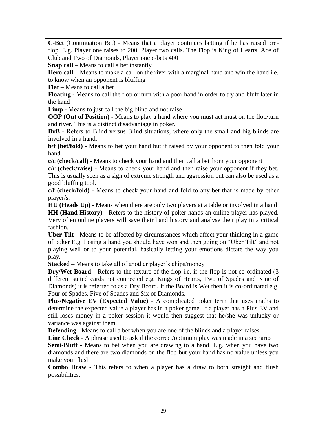**C-Bet** (Continuation Bet) - Means that a player continues betting if he has raised preflop. E.g. Player one raises to 200, Player two calls. The Flop is King of Hearts, Ace of Club and Two of Diamonds, Player one c-bets 400

**Snap call** – Means to call a bet instantly

**Hero call** – Means to make a call on the river with a marginal hand and win the hand i.e. to know when an opponent is bluffing

**Flat** – Means to call a bet

**Floating** - Means to call the flop or turn with a poor hand in order to try and bluff later in the hand

**Limp** - Means to just call the big blind and not raise

**OOP** (Out of Position) - Means to play a hand where you must act must on the flop/turn and river. This is a distinct disadvantage in poker.

**BvB** - Refers to Blind versus Blind situations, where only the small and big blinds are involved in a hand.

**b/f (bet/fold)** - Means to bet your hand but if raised by your opponent to then fold your hand.

**c/c (check/call)** - Means to check your hand and then call a bet from your opponent

**c/r (check/raise)** - Means to check your hand and then raise your opponent if they bet. This is usually seen as a sign of extreme strength and aggression but can also be used as a good bluffing tool.

**c/f (check/fold)** - Means to check your hand and fold to any bet that is made by other player/s.

**HU (Heads Up)** - Means when there are only two players at a table or involved in a hand **HH (Hand History**) - Refers to the history of poker hands an online player has played. Very often online players will save their hand history and analyse their play in a critical fashion.

**Uber Tilt** - Means to be affected by circumstances which affect your thinking in a game of poker E.g. Losing a hand you should have won and then going on "Uber Tilt" and not playing well or to your potential, basically letting your emotions dictate the way you play.

**Stacked** – Means to take all of another player's chips/money

**Dry/Wet Board** - Refers to the texture of the flop i.e. if the flop is not co-ordinated (3 different suited cards not connected e.g. Kings of Hearts, Two of Spades and Nine of Diamonds) it is referred to as a Dry Board. If the Board is Wet then it is co-ordinated e.g. Four of Spades, Five of Spades and Six of Diamonds.

**Plus/Negative EV (Expected Value)** - A complicated poker term that uses maths to determine the expected value a player has in a poker game. If a player has a Plus EV and still loses money in a poker session it would then suggest that he/she was unlucky or variance was against them.

**Defending** - Means to call a bet when you are one of the blinds and a player raises

**Line Check** - A phrase used to ask if the correct/optimum play was made in a scenario

**Semi-Bluff** - Means to bet when you are drawing to a hand. E.g. when you have two diamonds and there are two diamonds on the flop but your hand has no value unless you make your flush

**Combo Draw** - This refers to when a player has a draw to both straight and flush possibilities.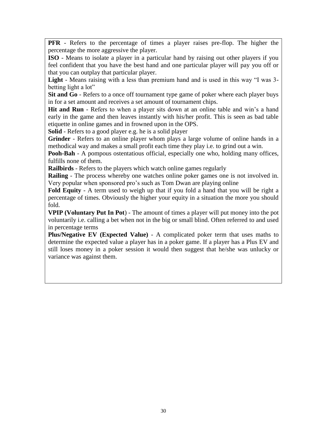**PFR** - Refers to the percentage of times a player raises pre-flop. The higher the percentage the more aggressive the player.

**ISO** - Means to isolate a player in a particular hand by raising out other players if you feel confident that you have the best hand and one particular player will pay you off or that you can outplay that particular player.

**Light** - Means raising with a less than premium hand and is used in this way "I was 3 betting light a lot"

**Sit and Go** - Refers to a once off tournament type game of poker where each player buys in for a set amount and receives a set amount of tournament chips.

**Hit and Run** - Refers to when a player sits down at an online table and win's a hand early in the game and then leaves instantly with his/her profit. This is seen as bad table etiquette in online games and in frowned upon in the OPS.

**Solid** - Refers to a good player e.g. he is a solid player

**Grinder** - Refers to an online player whom plays a large volume of online hands in a methodical way and makes a small profit each time they play i.e. to grind out a win.

**Pooh-Bah** - A pompous ostentatious official, especially one who, holding many offices, fulfills none of them.

**Railbirds** - Refers to the players which watch online games regularly

**Railing** - The process whereby one watches online poker games one is not involved in. Very popular when sponsored pro's such as Tom Dwan are playing online

**Fold Equity** - A term used to weigh up that if you fold a hand that you will be right a percentage of times. Obviously the higher your equity in a situation the more you should fold.

**VPIP (Voluntary Put In Pot**) - The amount of times a player will put money into the pot voluntarily i.e. calling a bet when not in the big or small blind. Often referred to and used in percentage terms

**Plus/Negative EV (Expected Value)** - A complicated poker term that uses maths to determine the expected value a player has in a poker game. If a player has a Plus EV and still loses money in a poker session it would then suggest that he/she was unlucky or variance was against them.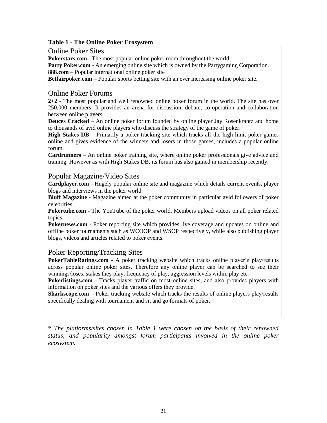# **Table 1 - The Online Poker Ecosystem**

# Online Poker Sites

**Pokerstars.com** - The most popular online poker room throughout the world.

**Party Poker.com** - An emerging online site which is owned by the Partygaming Corporation. **888.com** – Popular international online poker site

**Betfairpoker.com** – Popular sports betting site with an ever increasing online poker site.

### Online Poker Forums

**2+2** - The most popular and well renowned online poker forum in the world. The site has over 250,000 members. It provides an arena for discussion, debate, co-operation and collaboration between online players.

**Deuces Cracked** – An online poker forum founded by online player Jay Rosenkrantz and home to thousands of avid online players who discuss the strategy of the game of poker.

**High Stakes DB** – Primarily a poker tracking site which tracks all the high limit poker games online and gives evidence of the winners and losers in those games, includes a popular online forum.

**Cardrunners** – An online poker training site, where online poker professionals give advice and training. However as with High Stakes DB, its forum has also gained in membership recently.

#### Popular Magazine/Video Sites

**Cardplayer.com** - Hugely popular online site and magazine which details current events, player blogs and interviews in the poker world.

**Bluff Magazine** - Magazine aimed at the poker community in particular avid followers of poker celebrities.

**Pokertube.com** - The YouTube of the poker world. Members upload videos on all poker related topics.

**Pokernews.com** - Poker reporting site which provides live coverage and updates on online and offline poker tournaments such as WCOOP and WSOP respectively, while also publishing player blogs, videos and articles related to poker events.

# Poker Reporting/Tracking Sites

**PokerTableRatings.com** - A poker tracking website which tracks online player's play/results across popular online poker sites. Therefore any online player can be searched to see their winnings/loses, stakes they play, frequency of play, aggression levels within play etc.

**Pokerlistings.com** - Tracks player traffic on most online sites, and also provides players with information on poker sites and the various offers they provide.

**Sharkscope.com** – Poker tracking website which tracks the results of online players play/results specifically dealing with tournament and sit and go formats of poker.

\* *The platforms/sites chosen in Table 1 were chosen on the basis of their renowned status, and popularity amongst forum participants involved in the online poker ecosystem.*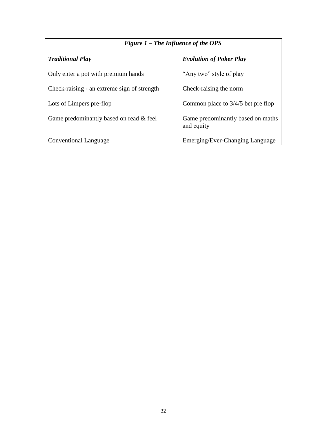| Figure $1$ – The Influence of the OPS       |                                                 |
|---------------------------------------------|-------------------------------------------------|
| <b>Traditional Play</b>                     | <b>Evolution of Poker Play</b>                  |
| Only enter a pot with premium hands         | "Any two" style of play                         |
| Check-raising - an extreme sign of strength | Check-raising the norm                          |
| Lots of Limpers pre-flop                    | Common place to $3/4/5$ bet pre flop            |
| Game predominantly based on read & feel     | Game predominantly based on maths<br>and equity |
| <b>Conventional Language</b>                | Emerging/Ever-Changing Language                 |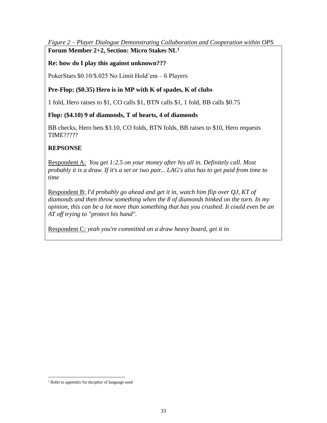# *Figure 2 – Player Dialogue Demonstrating Collaboration and Cooperation within OPS*  **Forum Member 2+2, Section: Micro Stakes NL<sup>1</sup>**

# **Re: how do I play this against unknown???**

PokerStars \$0.10/\$.025 No Limit Hold'em – 6 Players

# **Pre-Flop: (\$0.35) Hero is in MP with K of spades, K of clubs**

1 fold, Hero raises to \$1, CO calls \$1, BTN calls \$1, 1 fold, BB calls \$0.75

# **Flop: (\$4.10) 9 of diamonds, T of hearts, 4 of diamonds**

BB checks, Hero bets \$3.10, CO folds, BTN folds, BB raises to \$10, Hero requests TIME?????

# **REPSONSE**

Respondent A: *You get 1:2.5 on your money after his all in. Definitely call. Most probably it is a draw. If it's a set or two pair... LAG's also has to get paid from time to time*

Respondent B: *I'd probably go ahead and get it in, watch him flip over QJ, KT of diamonds and then throw something when the 8 of diamonds binked on the turn. In my opinion, this can be a lot more than something that has you crushed. It could even be an AT off trying to "protect his hand".* 

Respondent C: *yeah you're committed on a draw heavy board, get it in* 

 $\overline{\phantom{a}}$ 

<sup>&</sup>lt;sup>1</sup> Refer to appendix for decipher of language used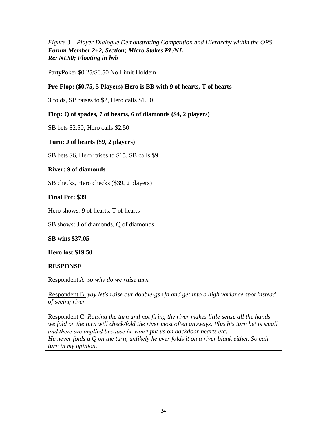# *Figure 3 – Player Dialogue Demonstrating Competition and Hierarchy within the OPS*

*Forum Member 2+2, Section; Micro Stakes PL/NL Re: NL50; Floating in bvb* 

PartyPoker \$0.25/\$0.50 No Limit Holdem

# **Pre-Flop: (\$0.75, 5 Players) Hero is BB with 9 of hearts, T of hearts**

3 folds, SB raises to \$2, Hero calls \$1.50

# **Flop: Q of spades, 7 of hearts, 6 of diamonds (\$4, 2 players)**

SB bets \$2.50, Hero calls \$2.50

# **Turn: J of hearts (\$9, 2 players)**

SB bets \$6, Hero raises to \$15, SB calls \$9

# **River: 9 of diamonds**

SB checks, Hero checks (\$39, 2 players)

**Final Pot: \$39**

Hero shows: 9 of hearts, T of hearts

SB shows: J of diamonds, Q of diamonds

**SB wins \$37.05**

# **Hero lost \$19.50**

# **RESPONSE**

Respondent A: *so why do we raise turn*

Respondent B: *yay let's raise our double-gs+fd and get into a high variance spot instead of seeing river* 

Respondent C: *Raising the turn and not firing the river makes little sense all the hands*  we fold on the turn will check/fold the river most often anyways. Plus his turn bet is small *and there are implied because he won't put us on backdoor hearts etc. He never folds a Q on the turn, unlikely he ever folds it on a river blank either. So call turn in my opinion.*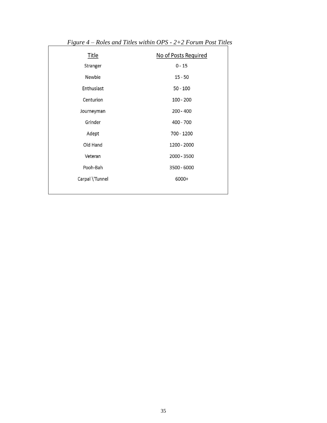| Title           | No of Posts Required |
|-----------------|----------------------|
| Stranger        | $0 - 15$             |
| Newbie          | $15 - 50$            |
| Enthusiast      | $50 - 100$           |
| Centurion       | $100 - 200$          |
| Journeyman      | $200 - 400$          |
| Grinder         | 400 - 700            |
| Adept           | 700 - 1200           |
| Old Hand        | 1200 - 2000          |
| Veteran         | 2000 - 3500          |
| Pooh-Bah        | 3500 - 6000          |
| Carpal \'Tunnel | 6000+                |
|                 |                      |

*Figure 4 – Roles and Titles within OPS - 2+2 Forum Post Titles*